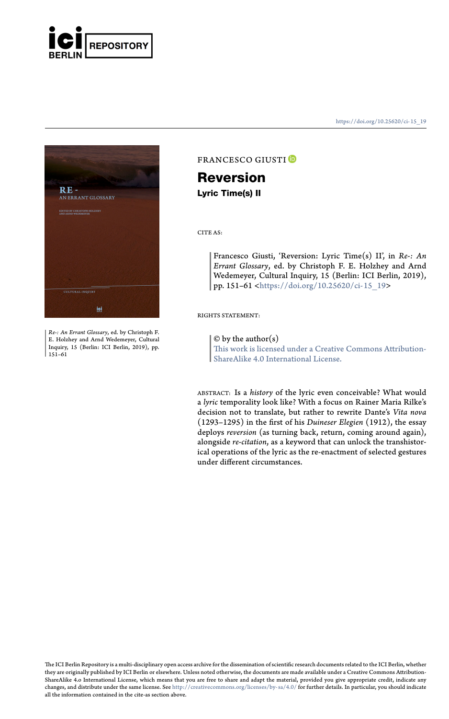



*Re-: An Errant Glossary*, ed. by Christoph F. E. Holzhey and Arnd Wedemeyer, Cultural Inquiry, 15 (Berlin: ICI Berlin, 2019), pp. 151–61

#### https://doi.org/10.25620/ci- 15\_19

### FRANCESCO GIUSTI<sup>O</sup>

# **Reversion**

**Lyric Time(s) II**

## CITE AS:

Francesco Giusti, 'Reversion: Lyric Time(s) II', in *Re-: An Errant Glossary*, ed. by Christoph F. E. Holzhey and Arnd Wedemeyer, Cultural Inquiry, 15 (Berlin: ICI Berlin, 2019), pp. 151–61 <https://doi.org/10.25620/ci-15\_19>

#### $© by the author(s)$

RIGHTS STATEMENT:

This work is licensed under a Creative Commons Attribution-ShareAlike 4.0 International License.

ABSTRACT: Is a *history* of the lyric even conceivable? What would a *lyric* temporality look like? With a focus on Rainer Maria Rilke's decision not to translate, but rather to rewrite Dante's *Vita nova* [\(1293–1295\) in the first of h](http://creativecommons.org/licenses/by-sa/4.0/)is *Duineser Elegien* (1912), the essay deploys *reversion* (as turning back, return, coming around again), alongside *re-citation*, as a keyword that can unlock the transhistorical operations of the lyric as the re-enactment of selected gestures under different circumstances.

The ICI Berlin Repository is a multi-disciplinary open access archive for the dissemination of scientific research documents related to the ICI Berlin, whether<br>they are originally published by ICI Berlin or elsewhere. Unle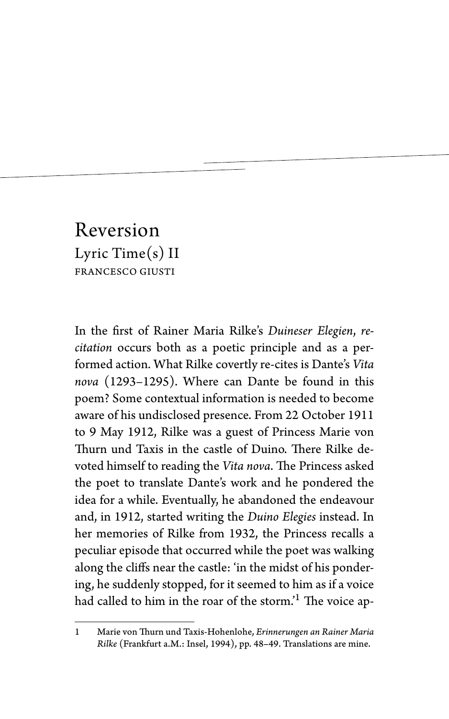# Reversion Lyric Time(s) II FRANCESCO GIUSTI

In the first of Rainer Maria Rilke's *Duineser Elegien*, *recitation* occurs both as a poetic principle and as a performed action. What Rilke covertly re-cites is Dante's *Vita nova* (1293–1295). Where can Dante be found in this poem? Some contextual information is needed to become aware of his undisclosed presence. From 22 October 1911 to 9 May 1912, Rilke was a guest of Princess Marie von Thurn und Taxis in the castle of Duino. There Rilke devoted himself to reading the *Vita nova*. The Princess asked the poet to translate Dante's work and he pondered the idea for a while. Eventually, he abandoned the endeavour and, in 1912, started writing the *Duino Elegies* instead. In her memories of Rilke from 1932, the Princess recalls a peculiar episode that occurred while the poet was walking along the cliffs near the castle: 'in the midst of his pondering, he suddenly stopped, for it seemed to him as if a voice had called to him in the roar of the storm.<sup>'1</sup> The voice ap-

<sup>1</sup> Marie von Thurn und Taxis-Hohenlohe, *Erinnerungen an Rainer Maria Rilke* (Frankfurt a.M.: Insel, 1994), pp. 48–49. Translations are mine.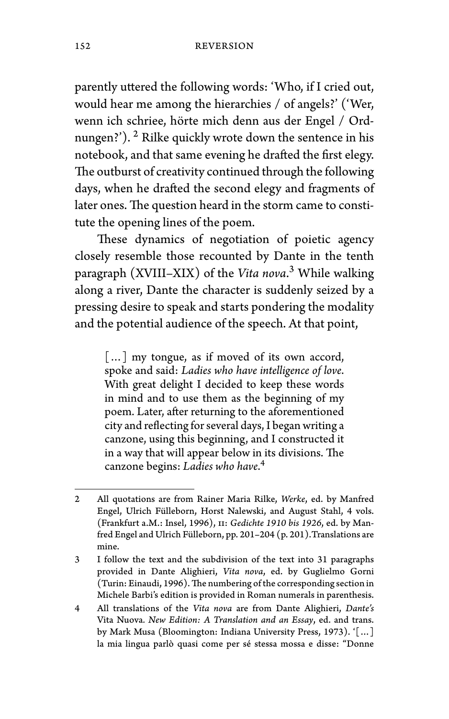parently uttered the following words: 'Who, if I cried out, would hear me among the hierarchies / of angels?' ('Wer, wenn ich schriee, hörte mich denn aus der Engel / Ordnungen?'). <sup>2</sup> Rilke quickly wrote down the sentence in his notebook, and that same evening he drafted the first elegy. The outburst of creativity continued through the following days, when he drafted the second elegy and fragments of later ones. The question heard in the storm came to constitute the opening lines of the poem.

These dynamics of negotiation of poietic agency closely resemble those recounted by Dante in the tenth paragraph (XVIII–XIX) of the *Vita nova*. <sup>3</sup> While walking along a river, Dante the character is suddenly seized by a pressing desire to speak and starts pondering the modality and the potential audience of the speech. At that point,

[...] my tongue, as if moved of its own accord, spoke and said: *Ladies who have intelligence of love*. With great delight I decided to keep these words in mind and to use them as the beginning of my poem. Later, after returning to the aforementioned city and reflecting for several days, I began writing a canzone, using this beginning, and I constructed it in a way that will appear below in its divisions. The canzone begins: *Ladies who have*. 4

<sup>2</sup> All quotations are from Rainer Maria Rilke, *Werke*, ed. by Manfred Engel, Ulrich Fülleborn, Horst Nalewski, and August Stahl, 4 vols. (Frankfurt a.M.: Insel, 1996), ii: *Gedichte 1910 bis 1926*, ed. by Manfred Engel and Ulrich Fülleborn, pp. 201–204 (p. 201).Translations are mine.

<sup>3</sup> I follow the text and the subdivision of the text into 31 paragraphs provided in Dante Alighieri, *Vita nova*, ed. by Guglielmo Gorni (Turin: Einaudi, 1996). The numbering of the corresponding section in Michele Barbi's edition is provided in Roman numerals in parenthesis.

<sup>4</sup> All translations of the *Vita nova* are from Dante Alighieri, *Dante's* Vita Nuova*. New Edition: A Translation and an Essay*, ed. and trans. by Mark Musa (Bloomington: Indiana University Press, 1973). '[…] la mia lingua parlò quasi come per sé stessa mossa e disse: "Donne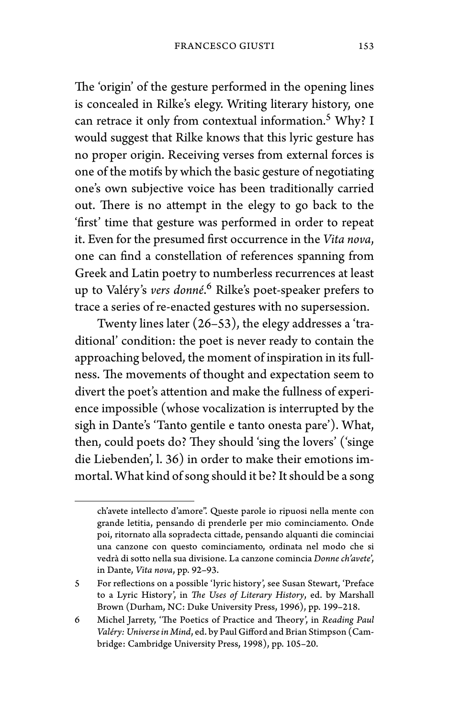The 'origin' of the gesture performed in the opening lines is concealed in Rilke's elegy. Writing literary history, one can retrace it only from contextual information.<sup>5</sup> Why? I would suggest that Rilke knows that this lyric gesture has no proper origin. Receiving verses from external forces is one of the motifs by which the basic gesture of negotiating one's own subjective voice has been traditionally carried out. There is no attempt in the elegy to go back to the 'first' time that gesture was performed in order to repeat it. Even for the presumed first occurrence in the *Vita nova*, one can find a constellation of references spanning from Greek and Latin poetry to numberless recurrences at least up to Valéry's *vers donné*. <sup>6</sup> Rilke's poet-speaker prefers to trace a series of re-enacted gestures with no supersession.

Twenty lines later (26–53), the elegy addresses a 'traditional' condition: the poet is never ready to contain the approaching beloved, the moment of inspiration in its fullness. The movements of thought and expectation seem to divert the poet's attention and make the fullness of experience impossible (whose vocalization is interrupted by the sigh in Dante's 'Tanto gentile e tanto onesta pare'). What, then, could poets do? They should 'sing the lovers' ('singe die Liebenden', l. 36) in order to make their emotions immortal. What kind of song should it be? It should be a song

ch'avete intellecto d'amore". Queste parole io ripuosi nella mente con grande letitia, pensando di prenderle per mio cominciamento. Onde poi, ritornato alla sopradecta cittade, pensando alquanti die cominciai una canzone con questo cominciamento, ordinata nel modo che si vedrà di sotto nella sua divisione. La canzone comincia *Donne ch'avete*', in Dante, *Vita nova*, pp. 92–93.

<sup>5</sup> For reflections on a possible 'lyric history', see Susan Stewart, 'Preface to a Lyric History', in *The Uses of Literary History*, ed. by Marshall Brown (Durham, NC: Duke University Press, 1996), pp. 199–218.

<sup>6</sup> Michel Jarrety, 'The Poetics of Practice and Theory', in *Reading Paul Valéry: Universe in Mind*, ed. by Paul Gifford and Brian Stimpson (Cambridge: Cambridge University Press, 1998), pp. 105–20.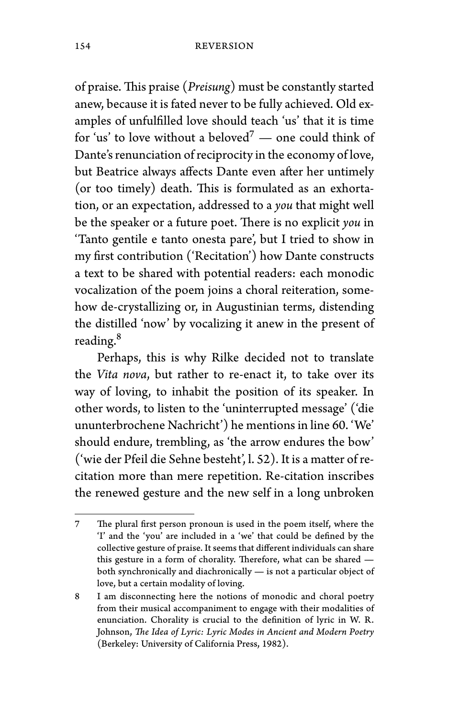of praise. This praise (*Preisung*) must be constantly started anew, because it is fated never to be fully achieved. Old examples of unfulfilled love should teach 'us' that it is time for 'us' to love without a beloved<sup>7</sup> — one could think of Dante's renunciation of reciprocity in the economy of love, but Beatrice always affects Dante even after her untimely (or too timely) death. This is formulated as an exhortation, or an expectation, addressed to a *you* that might well be the speaker or a future poet. There is no explicit *you* in 'Tanto gentile e tanto onesta pare', but I tried to show in my first contribution ('Recitation') how Dante constructs a text to be shared with potential readers: each monodic vocalization of the poem joins a choral reiteration, somehow de-crystallizing or, in Augustinian terms, distending the distilled 'now' by vocalizing it anew in the present of reading.<sup>8</sup>

Perhaps, this is why Rilke decided not to translate the *Vita nova*, but rather to re-enact it, to take over its way of loving, to inhabit the position of its speaker. In other words, to listen to the 'uninterrupted message' ('die ununterbrochene Nachricht') he mentions in line 60. 'We' should endure, trembling, as 'the arrow endures the bow' ('wie der Pfeil die Sehne besteht', l. 52). It is a matter of recitation more than mere repetition. Re-citation inscribes the renewed gesture and the new self in a long unbroken

<sup>7</sup> The plural first person pronoun is used in the poem itself, where the 'I' and the 'you' are included in a 'we' that could be defined by the collective gesture of praise. It seems that different individuals can share this gesture in a form of chorality. Therefore, what can be shared both synchronically and diachronically — is not a particular object of love, but a certain modality of loving.

<sup>8</sup> I am disconnecting here the notions of monodic and choral poetry from their musical accompaniment to engage with their modalities of enunciation. Chorality is crucial to the definition of lyric in W. R. Johnson, *The Idea of Lyric: Lyric Modes in Ancient and Modern Poetry* (Berkeley: University of California Press, 1982).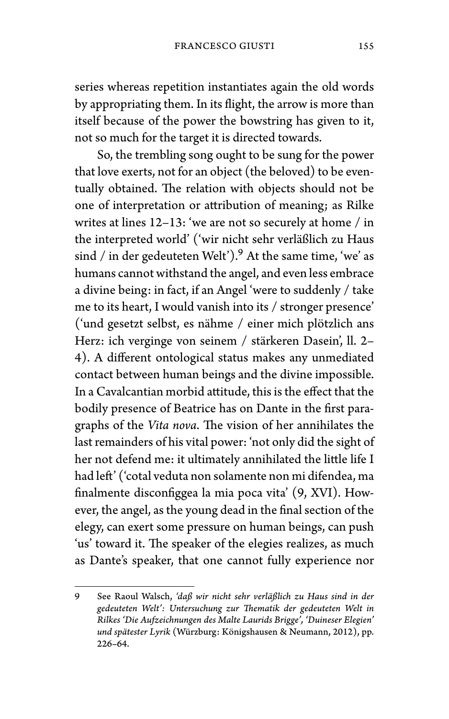series whereas repetition instantiates again the old words by appropriating them. In its flight, the arrow is more than itself because of the power the bowstring has given to it, not so much for the target it is directed towards.

So, the trembling song ought to be sung for the power that love exerts, not for an object (the beloved) to be eventually obtained. The relation with objects should not be one of interpretation or attribution of meaning; as Rilke writes at lines 12–13: 'we are not so securely at home / in the interpreted world' ('wir nicht sehr verläßlich zu Haus sind / in der gedeuteten Welt').<sup>9</sup> At the same time, 'we' as humans cannot withstand the angel, and even less embrace a divine being: in fact, if an Angel 'were to suddenly / take me to its heart, I would vanish into its / stronger presence' ('und gesetzt selbst, es nähme / einer mich plötzlich ans Herz: ich verginge von seinem / stärkeren Dasein', ll. 2– 4). A different ontological status makes any unmediated contact between human beings and the divine impossible. In a Cavalcantian morbid attitude, this is the effect that the bodily presence of Beatrice has on Dante in the first paragraphs of the *Vita nova*. The vision of her annihilates the last remainders of his vital power: 'not only did the sight of her not defend me: it ultimately annihilated the little life I had left' ('cotal veduta non solamente non mi difendea, ma finalmente disconfiggea la mia poca vita' (9, XVI). However, the angel, as the young dead in the final section of the elegy, can exert some pressure on human beings, can push 'us' toward it. The speaker of the elegies realizes, as much as Dante's speaker, that one cannot fully experience nor

<sup>9</sup> See Raoul Walsch, *'daß wir nicht sehr verläßlich zu Haus sind in der gedeuteten Welt': Untersuchung zur Thematik der gedeuteten Welt in Rilkes 'Die Aufzeichnungen des Malte Laurids Brigge', 'Duineser Elegien' und spätester Lyrik* (Würzburg: Königshausen & Neumann, 2012), pp. 226–64.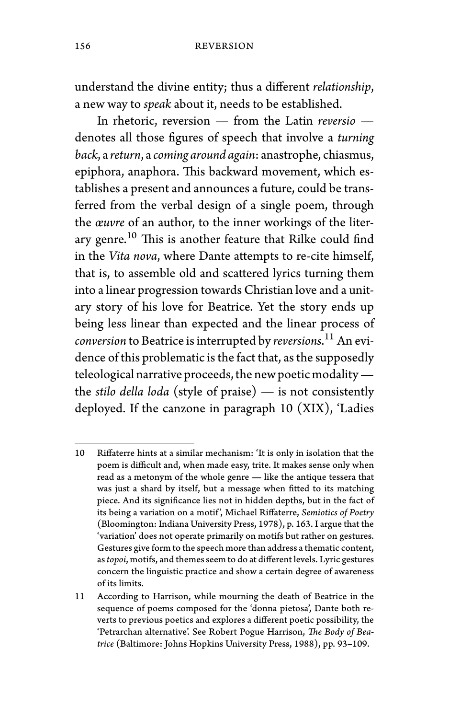understand the divine entity; thus a different *relationship*, a new way to *speak* about it, needs to be established.

In rhetoric, reversion — from the Latin *reversio* denotes all those figures of speech that involve a *turning back*, a *return*, a *coming around again*: anastrophe, chiasmus, epiphora, anaphora. This backward movement, which establishes a present and announces a future, could be transferred from the verbal design of a single poem, through the *œuvre* of an author, to the inner workings of the literary genre.<sup>10</sup> This is another feature that Rilke could find in the *Vita nova*, where Dante attempts to re-cite himself, that is, to assemble old and scattered lyrics turning them into a linear progression towards Christian love and a unitary story of his love for Beatrice. Yet the story ends up being less linear than expected and the linear process of *conversion* to Beatrice is interrupted by *reversions*. <sup>11</sup> An evidence of this problematic is the fact that, as the supposedly teleological narrative proceeds, the new poetic modality the *stilo della loda* (style of praise) — is not consistently deployed. If the canzone in paragraph 10 (XIX), 'Ladies

<sup>10</sup> Riffaterre hints at a similar mechanism: 'It is only in isolation that the poem is difficult and, when made easy, trite. It makes sense only when read as a metonym of the whole genre — like the antique tessera that was just a shard by itself, but a message when fitted to its matching piece. And its significance lies not in hidden depths, but in the fact of its being a variation on a motif', Michael Riffaterre, *Semiotics of Poetry* (Bloomington: Indiana University Press, 1978), p. 163. I argue that the 'variation' does not operate primarily on motifs but rather on gestures. Gestures give form to the speech more than address a thematic content, as*topoi*, motifs, and themes seem to do at different levels. Lyric gestures concern the linguistic practice and show a certain degree of awareness of its limits.

<sup>11</sup> According to Harrison, while mourning the death of Beatrice in the sequence of poems composed for the 'donna pietosa', Dante both reverts to previous poetics and explores a different poetic possibility, the 'Petrarchan alternative'. See Robert Pogue Harrison, *The Body of Beatrice* (Baltimore: Johns Hopkins University Press, 1988), pp. 93–109.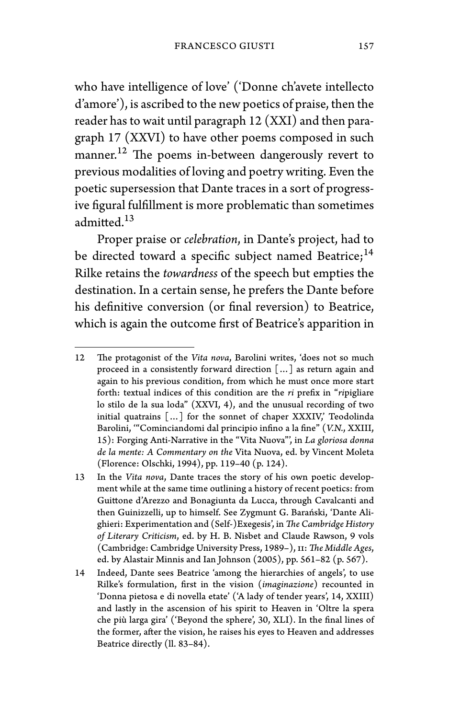who have intelligence of love' ('Donne ch'avete intellecto d'amore'), is ascribed to the new poetics of praise, then the reader has to wait until paragraph 12 (XXI) and then paragraph 17 (XXVI) to have other poems composed in such manner.<sup>12</sup> The poems in-between dangerously revert to previous modalities of loving and poetry writing. Even the poetic supersession that Dante traces in a sort of progressive figural fulfillment is more problematic than sometimes admitted.<sup>13</sup>

Proper praise or *celebration*, in Dante's project, had to be directed toward a specific subject named Beatrice;<sup>14</sup> Rilke retains the *towardness* of the speech but empties the destination. In a certain sense, he prefers the Dante before his definitive conversion (or final reversion) to Beatrice, which is again the outcome first of Beatrice's apparition in

<sup>12</sup> The protagonist of the *Vita nova*, Barolini writes, 'does not so much proceed in a consistently forward direction […] as return again and again to his previous condition, from which he must once more start forth: textual indices of this condition are the *ri* prefix in "*ri*pigliare lo stilo de la sua loda" (XXVI, 4), and the unusual recording of two initial quatrains […] for the sonnet of chaper XXXIV,' Teodolinda Barolini, '"Cominciandomi dal principio infino a la fine" (*V.N.*, XXIII, 15): Forging Anti-Narrative in the "Vita Nuova"', in *La gloriosa donna de la mente: A Commentary on the* Vita Nuova, ed. by Vincent Moleta (Florence: Olschki, 1994), pp. 119–40 (p. 124).

<sup>13</sup> In the *Vita nova*, Dante traces the story of his own poetic development while at the same time outlining a history of recent poetics: from Guittone d'Arezzo and Bonagiunta da Lucca, through Cavalcanti and then Guinizzelli, up to himself. See Zygmunt G. Barański, 'Dante Alighieri: Experimentation and (Self-)Exegesis', in *The Cambridge History of Literary Criticism*, ed. by H. B. Nisbet and Claude Rawson, 9 vols (Cambridge: Cambridge University Press, 1989–), ii: *The Middle Ages*, ed. by Alastair Minnis and Ian Johnson (2005), pp. 561–82 (p. 567).

<sup>14</sup> Indeed, Dante sees Beatrice 'among the hierarchies of angels', to use Rilke's formulation, first in the vision (*imaginazione*) recounted in 'Donna pietosa e di novella etate' ('A lady of tender years', 14, XXIII) and lastly in the ascension of his spirit to Heaven in 'Oltre la spera che più larga gira' ('Beyond the sphere', 30, XLI). In the final lines of the former, after the vision, he raises his eyes to Heaven and addresses Beatrice directly (ll. 83–84).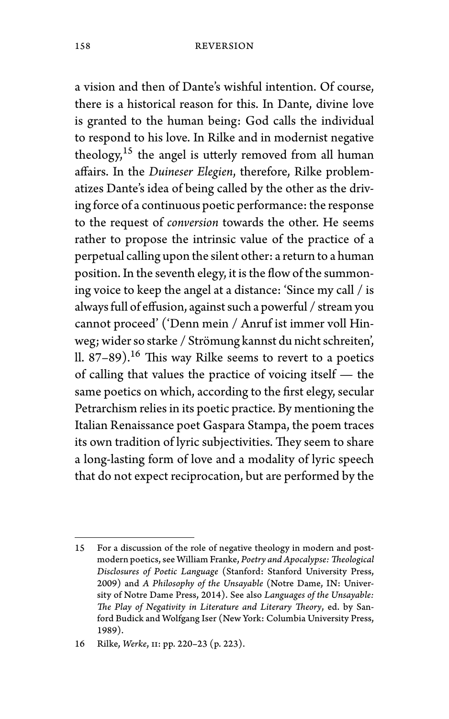a vision and then of Dante's wishful intention. Of course, there is a historical reason for this. In Dante, divine love is granted to the human being: God calls the individual to respond to his love. In Rilke and in modernist negative theology, $15$  the angel is utterly removed from all human affairs. In the *Duineser Elegien*, therefore, Rilke problematizes Dante's idea of being called by the other as the driving force of a continuous poetic performance: the response to the request of *conversion* towards the other. He seems rather to propose the intrinsic value of the practice of a perpetual calling upon the silent other: a return to a human position. In the seventh elegy, it is the flow of the summoning voice to keep the angel at a distance: 'Since my call / is always full of effusion, against such a powerful / stream you cannot proceed' ('Denn mein / Anruf ist immer voll Hinweg; wider so starke / Strömung kannst du nicht schreiten', ll.  $87-89$ ).<sup>16</sup> This way Rilke seems to revert to a poetics of calling that values the practice of voicing itself — the same poetics on which, according to the first elegy, secular Petrarchism relies in its poetic practice. By mentioning the Italian Renaissance poet Gaspara Stampa, the poem traces its own tradition of lyric subjectivities. They seem to share a long-lasting form of love and a modality of lyric speech that do not expect reciprocation, but are performed by the

<sup>15</sup> For a discussion of the role of negative theology in modern and postmodern poetics, see William Franke, *Poetry and Apocalypse:Theological Disclosures of Poetic Language* (Stanford: Stanford University Press, 2009) and *A Philosophy of the Unsayable* (Notre Dame, IN: University of Notre Dame Press, 2014). See also *Languages of the Unsayable: The Play of Negativity in Literature and Literary Theory*, ed. by Sanford Budick and Wolfgang Iser (New York: Columbia University Press, 1989).

<sup>16</sup> Rilke, *Werke*, ii: pp. 220–23 (p. 223).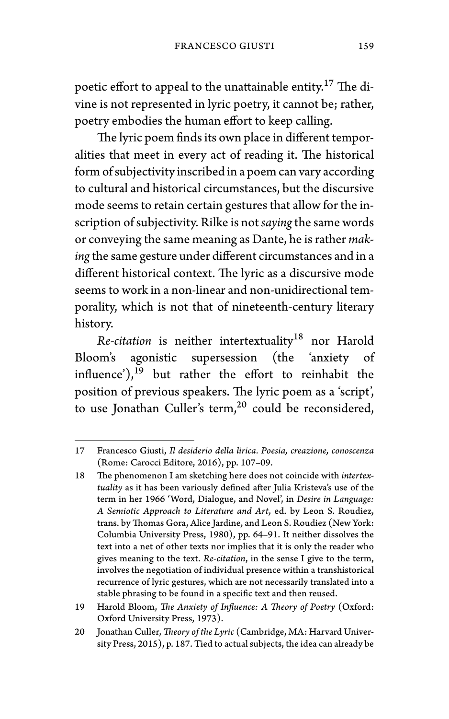poetic effort to appeal to the unattainable entity.<sup>17</sup> The divine is not represented in lyric poetry, it cannot be; rather, poetry embodies the human effort to keep calling.

The lyric poem finds its own place in different temporalities that meet in every act of reading it. The historical form of subjectivity inscribed in a poem can vary according to cultural and historical circumstances, but the discursive mode seems to retain certain gestures that allow for the inscription of subjectivity. Rilke is not *saying*the same words or conveying the same meaning as Dante, he is rather *making*the same gesture under different circumstances and in a different historical context. The lyric as a discursive mode seems to work in a non-linear and non-unidirectional temporality, which is not that of nineteenth-century literary history.

*Re-citation* is neither intertextuality<sup>18</sup> nor Harold Bloom's agonistic supersession (the 'anxiety of influence'), $19$  but rather the effort to reinhabit the position of previous speakers. The lyric poem as a 'script', to use Jonathan Culler's term, $^{20}$  could be reconsidered,

<sup>17</sup> Francesco Giusti, *Il desiderio della lirica. Poesia, creazione, conoscenza* (Rome: Carocci Editore, 2016), pp. 107–09.

<sup>18</sup> The phenomenon I am sketching here does not coincide with *intertextuality* as it has been variously defined after Julia Kristeva's use of the term in her 1966 'Word, Dialogue, and Novel', in *Desire in Language: A Semiotic Approach to Literature and Art*, ed. by Leon S. Roudiez, trans. by Thomas Gora, Alice Jardine, and Leon S. Roudiez (New York: Columbia University Press, 1980), pp. 64–91. It neither dissolves the text into a net of other texts nor implies that it is only the reader who gives meaning to the text. *Re-citation*, in the sense I give to the term, involves the negotiation of individual presence within a transhistorical recurrence of lyric gestures, which are not necessarily translated into a stable phrasing to be found in a specific text and then reused.

<sup>19</sup> Harold Bloom, *The Anxiety of Influence: A Theory of Poetry* (Oxford: Oxford University Press, 1973).

<sup>20</sup> Jonathan Culler, *Theory of the Lyric* (Cambridge, MA: Harvard University Press, 2015), p. 187. Tied to actual subjects, the idea can already be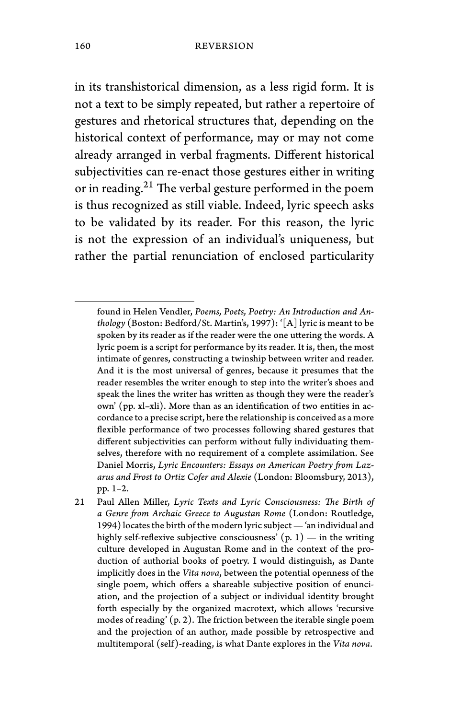in its transhistorical dimension, as a less rigid form. It is not a text to be simply repeated, but rather a repertoire of gestures and rhetorical structures that, depending on the historical context of performance, may or may not come already arranged in verbal fragments. Different historical subjectivities can re-enact those gestures either in writing or in reading.<sup>21</sup> The verbal gesture performed in the poem is thus recognized as still viable. Indeed, lyric speech asks to be validated by its reader. For this reason, the lyric is not the expression of an individual's uniqueness, but rather the partial renunciation of enclosed particularity

found in Helen Vendler, *Poems, Poets, Poetry: An Introduction and Anthology* (Boston: Bedford/St. Martin's, 1997): '[A] lyric is meant to be spoken by its reader as if the reader were the one uttering the words. A lyric poem is a script for performance by its reader. It is, then, the most intimate of genres, constructing a twinship between writer and reader. And it is the most universal of genres, because it presumes that the reader resembles the writer enough to step into the writer's shoes and speak the lines the writer has written as though they were the reader's own' (pp. xl–xli). More than as an identification of two entities in accordance to a precise script, here the relationship is conceived as a more flexible performance of two processes following shared gestures that different subjectivities can perform without fully individuating themselves, therefore with no requirement of a complete assimilation. See Daniel Morris, *Lyric Encounters: Essays on American Poetry from Lazarus and Frost to Ortiz Cofer and Alexie* (London: Bloomsbury, 2013), pp. 1–2.

<sup>21</sup> Paul Allen Miller, *Lyric Texts and Lyric Consciousness: The Birth of a Genre from Archaic Greece to Augustan Rome* (London: Routledge, 1994) locates the birth of the modern lyric subject— 'an individual and highly self-reflexive subjective consciousness'  $(p, 1)$  — in the writing culture developed in Augustan Rome and in the context of the production of authorial books of poetry. I would distinguish, as Dante implicitly does in the *Vita nova*, between the potential openness of the single poem, which offers a shareable subjective position of enunciation, and the projection of a subject or individual identity brought forth especially by the organized macrotext, which allows 'recursive modes of reading' (p. 2). The friction between the iterable single poem and the projection of an author, made possible by retrospective and multitemporal (self)-reading, is what Dante explores in the *Vita nova*.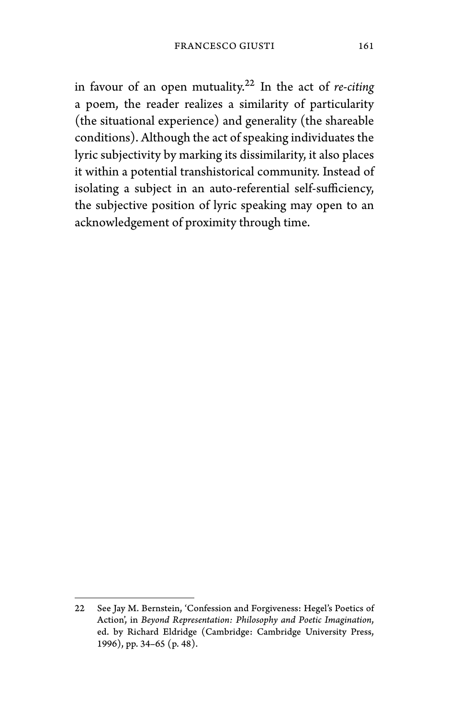in favour of an open mutuality.<sup>22</sup> In the act of *re-citing* a poem, the reader realizes a similarity of particularity (the situational experience) and generality (the shareable conditions). Although the act of speaking individuates the lyric subjectivity by marking its dissimilarity, it also places it within a potential transhistorical community. Instead of isolating a subject in an auto-referential self-sufficiency, the subjective position of lyric speaking may open to an acknowledgement of proximity through time.

<sup>22</sup> See Jay M. Bernstein, 'Confession and Forgiveness: Hegel's Poetics of Action', in *Beyond Representation: Philosophy and Poetic Imagination*, ed. by Richard Eldridge (Cambridge: Cambridge University Press, 1996), pp. 34–65 (p. 48).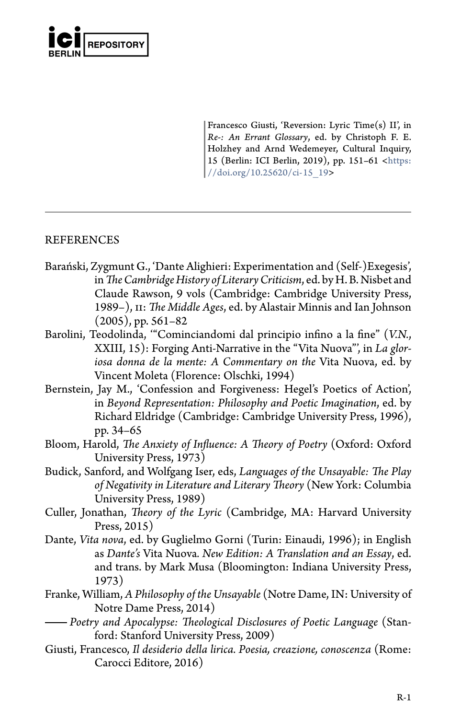

Francesco Giusti, 'Reversion: Lyric Time(s) II', in *Re-: An Errant Glossary*, ed. by Christoph F. E. Holzhey and Arnd Wedemeyer, Cultural Inquiry, 15 (Berlin: ICI Berlin, 2019), pp. 151–61 <https: //doi.org/10.25620/ci-15\_19>

# REFERENCES

- Barański, Zygmunt G., 'Dante Alighieri: Experimentation and (Self-)Exegesis', in*The Cambridge History of Literary Criticism*, ed. by H. B. Nisbet and Claude Rawson, 9 vols (Cambridge: Cambridge University Press, 1989–), ii: *The Middle Ages*, ed. by Alastair Minnis and Ian Johnson (2005), pp. 561–82
- Barolini, Teodolinda, '"Cominciandomi dal principio infino a la fine" (*V.N.*, XXIII, 15): Forging Anti-Narrative in the "Vita Nuova"', in *La gloriosa donna de la mente: A Commentary on the* Vita Nuova, ed. by Vincent Moleta (Florence: Olschki, 1994)
- Bernstein, Jay M., 'Confession and Forgiveness: Hegel's Poetics of Action', in *Beyond Representation: Philosophy and Poetic Imagination*, ed. by Richard Eldridge (Cambridge: Cambridge University Press, 1996), pp. 34–65
- Bloom, Harold, *The Anxiety of Influence: A Theory of Poetry* (Oxford: Oxford University Press, 1973)
- Budick, Sanford, and Wolfgang Iser, eds, *Languages of the Unsayable: The Play of Negativity in Literature and Literary Theory* (New York: Columbia University Press, 1989)
- Culler, Jonathan, *Theory of the Lyric* (Cambridge, MA: Harvard University Press, 2015)
- Dante, *Vita nova*, ed. by Guglielmo Gorni (Turin: Einaudi, 1996); in English as *Dante's* Vita Nuova*. New Edition: A Translation and an Essay*, ed. and trans. by Mark Musa (Bloomington: Indiana University Press, 1973)
- Franke, William, *A Philosophy of the Unsayable* (Notre Dame, IN: University of Notre Dame Press, 2014)
- *Poetry and Apocalypse: Theological Disclosures of Poetic Language* (Stanford: Stanford University Press, 2009)
- Giusti, Francesco, *Il desiderio della lirica. Poesia, creazione, conoscenza* (Rome: Carocci Editore, 2016)